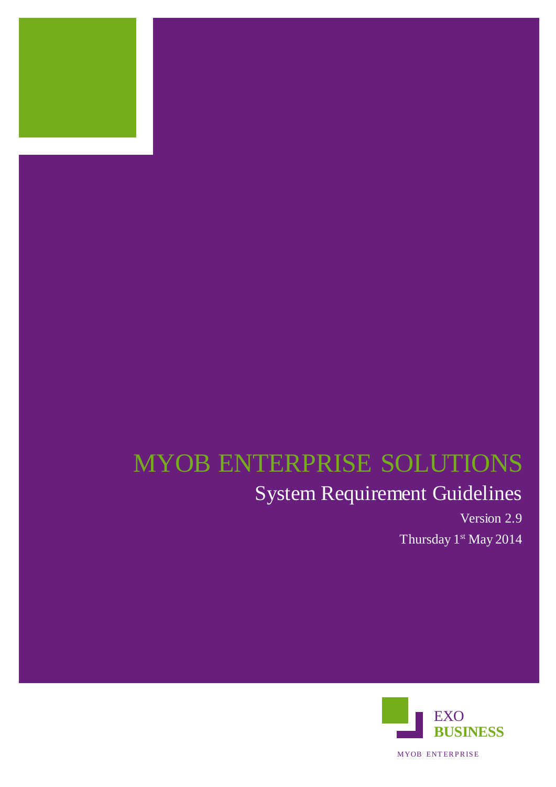

# MYOB ENTERPRISE SOLUTIONS

# System Requirement Guidelines

Version 2.9 Thursday 1st May 2014

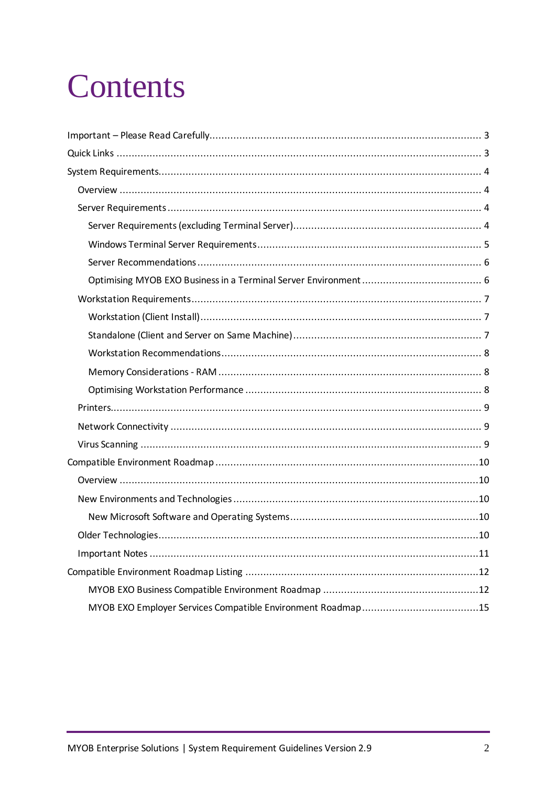# Contents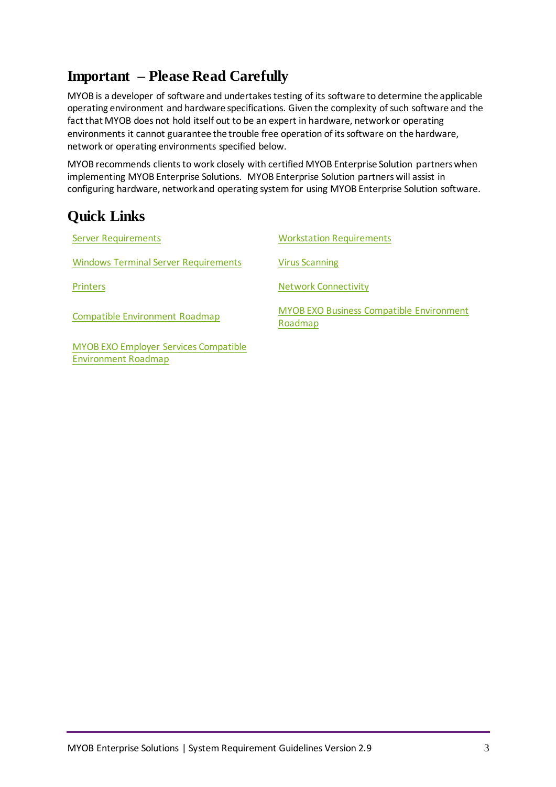# <span id="page-2-0"></span>**Important – Please Read Carefully**

MYOB is a developer of software and undertakes testing of its software to determine the applicable operating environment and hardware specifications. Given the complexity of such software and the fact that MYOB does not hold itself out to be an expert in hardware, network or operating environments it cannot guarantee the trouble free operation of its software on the hardware, network or operating environments specified below.

MYOB recommends clients to work closely with certified MYOB Enterprise Solution partners when implementing MYOB Enterprise Solutions. MYOB Enterprise Solution partners will assist in configuring hardware, network and operating system for using MYOB Enterprise Solution software.

# <span id="page-2-1"></span>**Quick Links**

[Environment Roadmap](#page-13-0)

| <b>Server Requirements</b>                  | <b>Workstation Requirements</b>                            |
|---------------------------------------------|------------------------------------------------------------|
| <b>Windows Terminal Server Requirements</b> | <b>Virus Scanning</b>                                      |
| <b>Printers</b>                             | <b>Network Connectivity</b>                                |
| Compatible Environment Roadmap              | <b>MYOB EXO Business Compatible Environment</b><br>Roadmap |
| MYOB EXO Employer Services Compatible       |                                                            |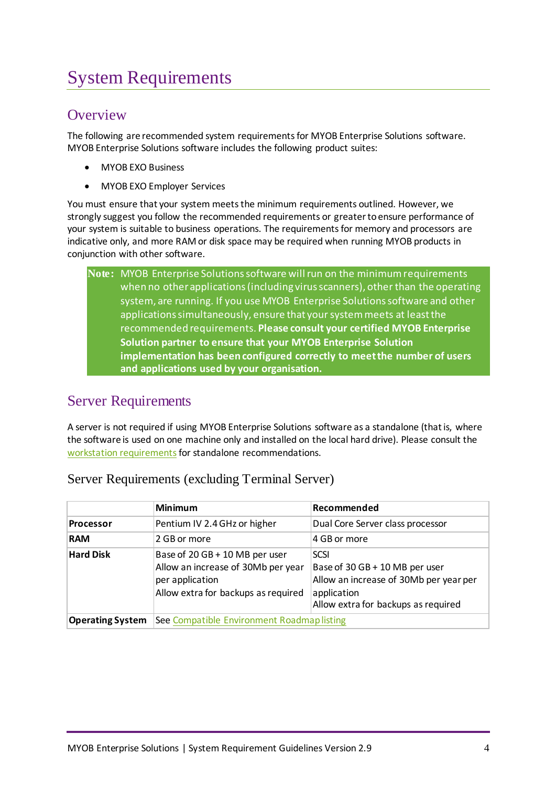# <span id="page-3-0"></span>System Requirements

## <span id="page-3-1"></span>**Overview**

The following are recommended system requirements for MYOB Enterprise Solutions software. MYOB Enterprise Solutions software includes the following product suites:

- MYOB EXO Business
- MYOB EXO Employer Services

You must ensure that your system meets the minimum requirements outlined. However, we strongly suggest you follow the recommended requirements or greater to ensure performance of your system is suitable to business operations. The requirements for memory and processors are indicative only, and more RAM or disk space may be required when running MYOB products in conjunction with other software.

| Note: MYOB Enterprise Solutions software will run on the minimum requirements   |
|---------------------------------------------------------------------------------|
| when no other applications (including virus scanners), other than the operating |
| system, are running. If you use MYOB Enterprise Solutions software and other    |
| applications simultaneously, ensure that your system meets at least the         |
| recommended requirements. Please consult your certified MYOB Enterprise         |
| Solution partner to ensure that your MYOB Enterprise Solution                   |
| implementation has been configured correctly to meet the number of users        |
| and applications used by your organisation.                                     |

# <span id="page-3-2"></span>Server Requirements

A server is not required if using MYOB Enterprise Solutions software as a standalone (that is, where the software is used on one machine only and installed on the local hard drive). Please consult the [workstation requirements](#page-6-0) for standalone recommendations.

|                         | <b>Minimum</b>                                                                                                                 | Recommended                                                                                                                            |  |  |
|-------------------------|--------------------------------------------------------------------------------------------------------------------------------|----------------------------------------------------------------------------------------------------------------------------------------|--|--|
| <b>Processor</b>        | Pentium IV 2.4 GHz or higher                                                                                                   | Dual Core Server class processor                                                                                                       |  |  |
| <b>RAM</b>              | 2 GB or more                                                                                                                   | 4 GB or more                                                                                                                           |  |  |
| <b>Hard Disk</b>        | Base of 20 GB + 10 MB per user<br>Allow an increase of 30Mb per year<br>per application<br>Allow extra for backups as required | SCSI<br>Base of 30 GB + 10 MB per user<br>Allow an increase of 30Mb per year per<br>application<br>Allow extra for backups as required |  |  |
| <b>Operating System</b> | See Compatible Environment Roadmap listing                                                                                     |                                                                                                                                        |  |  |

#### <span id="page-3-3"></span>Server Requirements (excluding Terminal Server)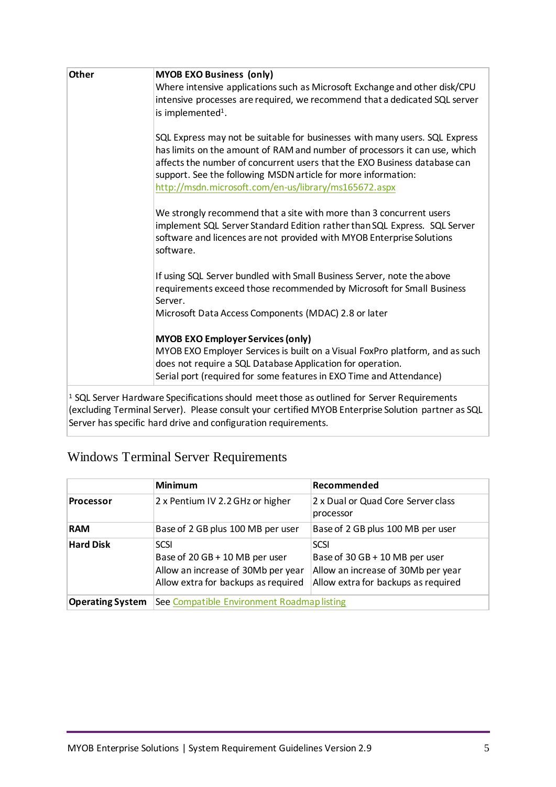| <b>Other</b> | <b>MYOB EXO Business (only)</b>                                                                                          |
|--------------|--------------------------------------------------------------------------------------------------------------------------|
|              | Where intensive applications such as Microsoft Exchange and other disk/CPU                                               |
|              | intensive processes are required, we recommend that a dedicated SQL server                                               |
|              | is implemented <sup>1</sup> .                                                                                            |
|              |                                                                                                                          |
|              | SQL Express may not be suitable for businesses with many users. SQL Express                                              |
|              | has limits on the amount of RAM and number of processors it can use, which                                               |
|              | affects the number of concurrent users that the EXO Business database can                                                |
|              | support. See the following MSDN article for more information:                                                            |
|              | http://msdn.microsoft.com/en-us/library/ms165672.aspx                                                                    |
|              |                                                                                                                          |
|              | We strongly recommend that a site with more than 3 concurrent users                                                      |
|              | implement SQL Server Standard Edition rather than SQL Express. SQL Server                                                |
|              | software and licences are not provided with MYOB Enterprise Solutions                                                    |
|              | software.                                                                                                                |
|              |                                                                                                                          |
|              | If using SQL Server bundled with Small Business Server, note the above                                                   |
|              | requirements exceed those recommended by Microsoft for Small Business                                                    |
|              | Server.                                                                                                                  |
|              | Microsoft Data Access Components (MDAC) 2.8 or later                                                                     |
|              |                                                                                                                          |
|              | <b>MYOB EXO Employer Services (only)</b><br>MYOB EXO Employer Services is built on a Visual FoxPro platform, and as such |
|              | does not require a SQL Database Application for operation.                                                               |
|              | Serial port (required for some features in EXO Time and Attendance)                                                      |
|              |                                                                                                                          |
|              | <sup>1</sup> SQL Server Hardware Specifications should meet those as outlined for Server Requirements                    |
|              | (excluding Terminal Server). Please consult your certified MYOB Enterprise Solution partner as SQL                       |
|              |                                                                                                                          |

Server has specific hard drive and configuration requirements.

# <span id="page-4-0"></span>Windows Terminal Server Requirements

|                         | <b>Minimum</b>                                                                                                      | Recommended                                                                                                                |  |  |
|-------------------------|---------------------------------------------------------------------------------------------------------------------|----------------------------------------------------------------------------------------------------------------------------|--|--|
| <b>Processor</b>        | 2 x Pentium IV 2.2 GHz or higher                                                                                    | 2 x Dual or Quad Core Server class<br>processor                                                                            |  |  |
| <b>RAM</b>              | Base of 2 GB plus 100 MB per user                                                                                   | Base of 2 GB plus 100 MB per user                                                                                          |  |  |
| <b>Hard Disk</b>        | SCSI<br>Base of 20 GB + 10 MB per user<br>Allow an increase of 30Mb per year<br>Allow extra for backups as required | <b>SCSI</b><br>Base of 30 GB + 10 MB per user<br>Allow an increase of 30Mb per year<br>Allow extra for backups as required |  |  |
| <b>Operating System</b> | See Compatible Environment Roadmap listing                                                                          |                                                                                                                            |  |  |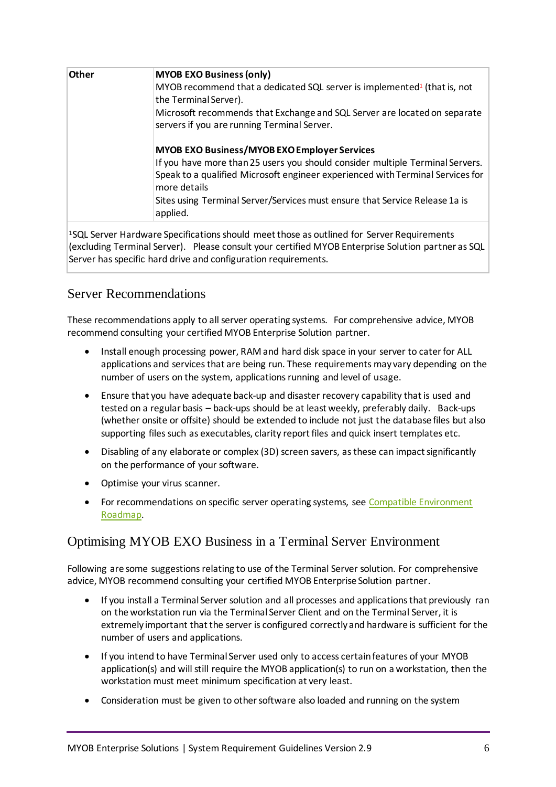| Other | <b>MYOB EXO Business (only)</b>                                                                                                                                 |  |  |  |  |
|-------|-----------------------------------------------------------------------------------------------------------------------------------------------------------------|--|--|--|--|
|       | MYOB recommend that a dedicated SQL server is implemented <sup>1</sup> (that is, not                                                                            |  |  |  |  |
|       | the Terminal Server).                                                                                                                                           |  |  |  |  |
|       | Microsoft recommends that Exchange and SQL Server are located on separate<br>servers if you are running Terminal Server.                                        |  |  |  |  |
|       | <b>MYOB EXO Business/MYOB EXO Employer Services</b>                                                                                                             |  |  |  |  |
|       | If you have more than 25 users you should consider multiple Terminal Servers.<br>Speak to a qualified Microsoft engineer experienced with Terminal Services for |  |  |  |  |
|       | more details                                                                                                                                                    |  |  |  |  |
|       | Sites using Terminal Server/Services must ensure that Service Release 1a is<br>applied.                                                                         |  |  |  |  |
|       |                                                                                                                                                                 |  |  |  |  |

<sup>1</sup>SQL Server Hardware Specifications should meet those as outlined for [Server Requirements](#page-3-3)  [\(excluding Terminal Server\).](#page-3-3) Please consult your certified MYOB Enterprise Solution partner as SQL Server has specific hard drive and configuration requirements.

#### <span id="page-5-0"></span>Server Recommendations

These recommendations apply to all server operating systems. For comprehensive advice, MYOB recommend consulting your certified MYOB Enterprise Solution partner.

- Install enough processing power, RAM and hard disk space in your server to cater for ALL applications and services that are being run. These requirements may vary depending on the number of users on the system, applications running and level of usage.
- Ensure that you have adequate back-up and disaster recovery capability that is used and tested on a regular basis – back-ups should be at least weekly, preferably daily. Back-ups (whether onsite or offsite) should be extended to include not just the database files but also supporting files such as executables, clarity report files and quick insert templates etc.
- Disabling of any elaborate or complex (3D) screen savers, as these can impact significantly on the performance of your software.
- Optimise your virus scanner.
- For recommendations on specific server operating systems, see Compatible Environment [Roadmap.](#page-9-0)

#### <span id="page-5-1"></span>Optimising MYOB EXO Business in a Terminal Server Environment

Following are some suggestions relating to use of the Terminal Server solution. For comprehensive advice, MYOB recommend consulting your certified MYOB Enterprise Solution partner.

- If you install a Terminal Server solution and all processes and applications that previously ran on the workstation run via the Terminal Server Client and on the Terminal Server, it is extremely important that the server is configured correctly and hardware is sufficient for the number of users and applications.
- If you intend to have Terminal Server used only to access certain features of your MYOB application(s) and will still require the MYOB application(s) to run on a workstation, then the workstation must meet minimum specification at very least.
- Consideration must be given to other software also loaded and running on the system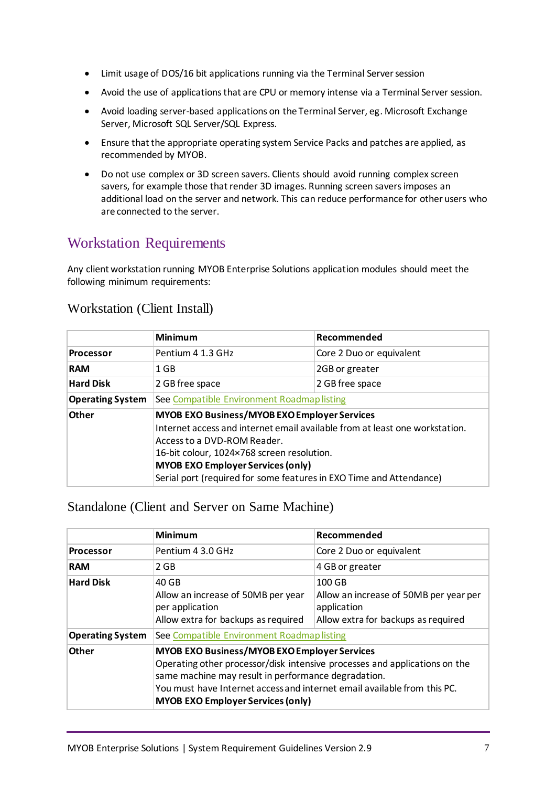- Limit usage of DOS/16 bit applications running via the Terminal Server session
- Avoid the use of applications that are CPU or memory intense via a Terminal Server session.
- Avoid loading server-based applications on the Terminal Server, eg. Microsoft Exchange Server, Microsoft SQL Server/SQL Express.
- Ensure that the appropriate operating system Service Packs and patches are applied, as recommended by MYOB.
- Do not use complex or 3D screen savers. Clients should avoid running complex screen savers, for example those that render 3D images. Running screen savers imposes an additional load on the server and network. This can reduce performance for other users who are connected to the server.

# <span id="page-6-0"></span>Workstation Requirements

Any client workstation running MYOB Enterprise Solutions application modules should meet the following minimum requirements:

|                         | <b>Minimum</b>                                                                                                                                                                                                                                                                                                                     | Recommended              |  |  |
|-------------------------|------------------------------------------------------------------------------------------------------------------------------------------------------------------------------------------------------------------------------------------------------------------------------------------------------------------------------------|--------------------------|--|--|
| <b>Processor</b>        | Pentium 4 1.3 GHz                                                                                                                                                                                                                                                                                                                  | Core 2 Duo or equivalent |  |  |
| <b>RAM</b>              | 1 GB                                                                                                                                                                                                                                                                                                                               | 2GB or greater           |  |  |
| <b>Hard Disk</b>        | 2 GB free space                                                                                                                                                                                                                                                                                                                    | 2 GB free space          |  |  |
| <b>Operating System</b> | See Compatible Environment Roadmap listing                                                                                                                                                                                                                                                                                         |                          |  |  |
| <b>Other</b>            | <b>MYOB EXO Business/MYOB EXO Employer Services</b><br>Internet access and internet email available from at least one workstation.<br>Access to a DVD-ROM Reader.<br>16-bit colour, 1024×768 screen resolution.<br><b>MYOB EXO Employer Services (only)</b><br>Serial port (required for some features in EXO Time and Attendance) |                          |  |  |

#### <span id="page-6-1"></span>Workstation (Client Install)

#### <span id="page-6-2"></span>Standalone (Client and Server on Same Machine)

|                         | <b>Minimum</b><br>Recommended                                                                                                                                                                                                                                                                                    |                                                  |  |  |
|-------------------------|------------------------------------------------------------------------------------------------------------------------------------------------------------------------------------------------------------------------------------------------------------------------------------------------------------------|--------------------------------------------------|--|--|
| <b>Processor</b>        | Pentium 4 3.0 GHz                                                                                                                                                                                                                                                                                                | Core 2 Duo or equivalent                         |  |  |
| <b>RAM</b>              | 2 GB                                                                                                                                                                                                                                                                                                             | 4 GB or greater                                  |  |  |
| <b>Hard Disk</b>        | 40 GB<br>Allow an increase of 50MB per year                                                                                                                                                                                                                                                                      | 100 GB<br>Allow an increase of 50MB per year per |  |  |
|                         | per application                                                                                                                                                                                                                                                                                                  | application                                      |  |  |
|                         | Allow extra for backups as required                                                                                                                                                                                                                                                                              | Allow extra for backups as required              |  |  |
| <b>Operating System</b> | See Compatible Environment Roadmap listing                                                                                                                                                                                                                                                                       |                                                  |  |  |
| <b>Other</b>            | <b>MYOB EXO Business/MYOB EXO Employer Services</b><br>Operating other processor/disk intensive processes and applications on the<br>same machine may result in performance degradation.<br>You must have Internet access and internet email available from this PC.<br><b>MYOB EXO Employer Services (only)</b> |                                                  |  |  |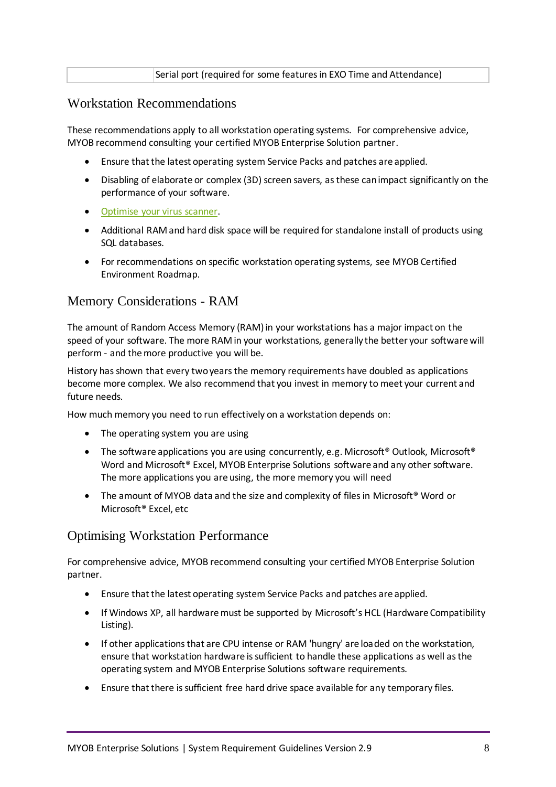|--|

#### <span id="page-7-0"></span>Workstation Recommendations

These recommendations apply to all workstation operating systems. For comprehensive advice, MYOB recommend consulting your certified MYOB Enterprise Solution partner.

- Ensure that the latest operating system Service Packs and patches are applied.
- Disabling of elaborate or complex (3D) screen savers, as these can impact significantly on the performance of your software.
- [Optimise your virus scanner.](#page-8-2)
- Additional RAM and hard disk space will be required for standalone install of products using SQL databases.
- For recommendations on specific workstation operating systems, see MYOB Certified Environment Roadmap.

#### <span id="page-7-1"></span>Memory Considerations - RAM

The amount of Random Access Memory (RAM) in your workstations has a major impact on the speed of your software. The more RAM in your workstations, generally the better your software will perform - and the more productive you will be.

History has shown that every two years the memory requirements have doubled as applications become more complex. We also recommend that you invest in memory to meet your current and future needs.

How much memory you need to run effectively on a workstation depends on:

- The operating system you are using
- The software applications you are using concurrently, e.g. Microsoft<sup>®</sup> Outlook, Microsoft<sup>®</sup> Word and Microsoft® Excel, MYOB Enterprise Solutions software and any other software. The more applications you are using, the more memory you will need
- The amount of MYOB data and the size and complexity of files in Microsoft<sup>®</sup> Word or Microsoft® Excel, etc

#### <span id="page-7-2"></span>Optimising Workstation Performance

For comprehensive advice, MYOB recommend consulting your certified MYOB Enterprise Solution partner.

- Ensure that the latest operating system Service Packs and patches are applied.
- If Windows XP, all hardware must be supported by Microsoft's HCL (Hardware Compatibility Listing).
- If other applications that are CPU intense or RAM 'hungry' are loaded on the workstation, ensure that workstation hardware is sufficient to handle these applications as well as the operating system and MYOB Enterprise Solutions software requirements.
- Ensure that there is sufficient free hard drive space available for any temporary files.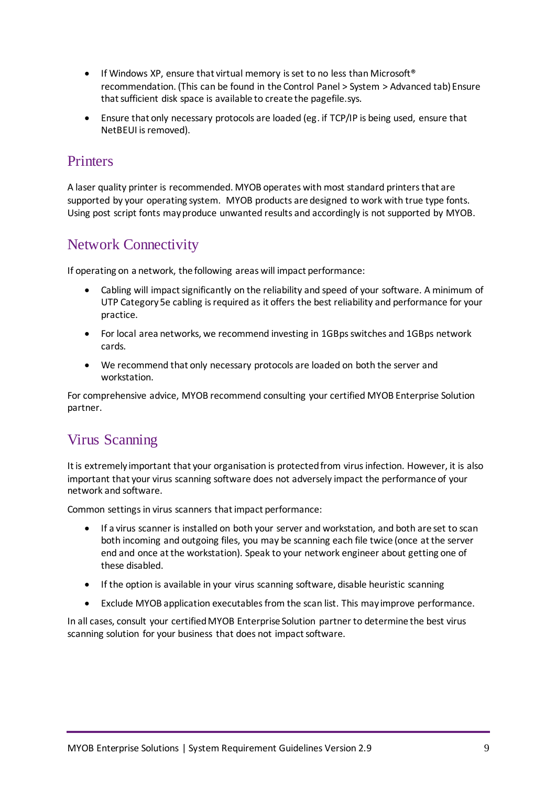- If Windows XP, ensure that virtual memory is set to no less than Microsoft<sup>®</sup> recommendation. (This can be found in the Control Panel > System > Advanced tab) Ensure that sufficient disk space is available to create the pagefile.sys.
- Ensure that only necessary protocols are loaded (eg. if TCP/IP is being used, ensure that NetBEUI is removed).

# <span id="page-8-0"></span>**Printers**

A laser quality printer is recommended. MYOB operates with most standard printers that are supported by your operating system. MYOB products are designed to work with true type fonts. Using post script fonts may produce unwanted results and accordingly is not supported by MYOB.

# <span id="page-8-1"></span>Network Connectivity

If operating on a network, the following areas will impact performance:

- Cabling will impact significantly on the reliability and speed of your software. A minimum of UTP Category 5e cabling is required as it offers the best reliability and performance for your practice.
- For local area networks, we recommend investing in 1GBps switches and 1GBps network cards.
- We recommend that only necessary protocols are loaded on both the server and workstation.

For comprehensive advice, MYOB recommend consulting your certified MYOB Enterprise Solution partner.

# <span id="page-8-2"></span>Virus Scanning

It is extremely important that your organisation is protected from virus infection. However, it is also important that your virus scanning software does not adversely impact the performance of your network and software.

Common settings in virus scanners that impact performance:

- If a virus scanner is installed on both your server and workstation, and both are set to scan both incoming and outgoing files, you may be scanning each file twice (once at the server end and once at the workstation). Speak to your network engineer about getting one of these disabled.
- If the option is available in your virus scanning software, disable heuristic scanning
- Exclude MYOB application executables from the scan list. This may improve performance.

In all cases, consult your certified MYOB Enterprise Solution partner to determine the best virus scanning solution for your business that does not impact software.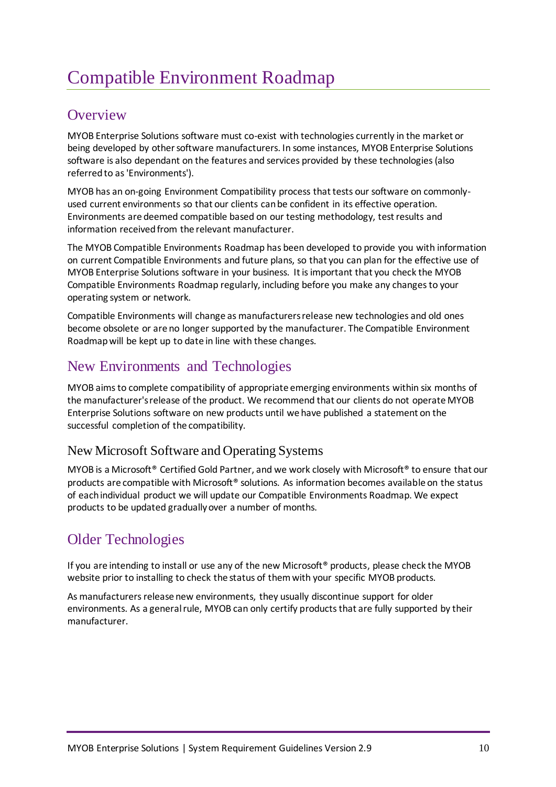# <span id="page-9-0"></span>Compatible Environment Roadmap

## <span id="page-9-1"></span>**Overview**

MYOB Enterprise Solutions software must co-exist with technologies currently in the market or being developed by other software manufacturers. In some instances, MYOB Enterprise Solutions software is also dependant on the features and services provided by these technologies (also referred to as 'Environments').

MYOB has an on-going Environment Compatibility process that tests our software on commonlyused current environments so that our clients can be confident in its effective operation. Environments are deemed compatible based on our testing methodology, test results and information received from the relevant manufacturer.

The MYOB Compatible Environments Roadmap has been developed to provide you with information on current Compatible Environments and future plans, so that you can plan for the effective use of MYOB Enterprise Solutions software in your business. It is important that you check the MYOB Compatible Environments Roadmap regularly, including before you make any changes to your operating system or network.

Compatible Environments will change as manufacturers release new technologies and old ones become obsolete or are no longer supported by the manufacturer. The Compatible Environment Roadmap will be kept up to date in line with these changes.

# <span id="page-9-2"></span>New Environments and Technologies

MYOB aims to complete compatibility of appropriate emerging environments within six months of the manufacturer's release of the product. We recommend that our clients do not operate MYOB Enterprise Solutions software on new products until we have published a statement on the successful completion of the compatibility.

### <span id="page-9-3"></span>New Microsoft Software and Operating Systems

MYOB is a Microsoft® Certified Gold Partner, and we work closely with Microsoft® to ensure that our products are compatible with Microsoft® solutions. As information becomes available on the status of each individual product we will update our Compatible Environments Roadmap. We expect products to be updated gradually over a number of months.

# <span id="page-9-4"></span>Older Technologies

If you are intending to install or use any of the new Microsoft® products, please check the MYOB website prior to installing to check the status of them with your specific MYOB products.

As manufacturers release new environments, they usually discontinue support for older environments. As a general rule, MYOB can only certify products that are fully supported by their manufacturer.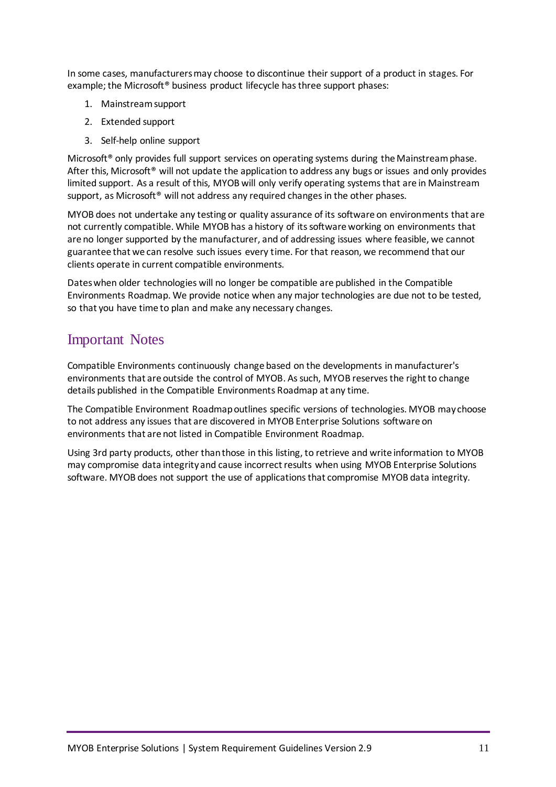In some cases, manufacturers may choose to discontinue their support of a product in stages. For example; the Microsoft<sup>®</sup> business product lifecycle has three support phases:

- 1. Mainstream support
- 2. Extended support
- 3. Self-help online support

Microsoft<sup>®</sup> only provides full support services on operating systems during the Mainstream phase. After this, Microsoft<sup>®</sup> will not update the application to address any bugs or issues and only provides limited support. As a result of this, MYOB will only verify operating systems that are in Mainstream support, as Microsoft<sup>®</sup> will not address any required changes in the other phases.

MYOB does not undertake any testing or quality assurance of its software on environments that are not currently compatible. While MYOB has a history of its software working on environments that are no longer supported by the manufacturer, and of addressing issues where feasible, we cannot guarantee that we can resolve such issues every time. For that reason, we recommend that our clients operate in current compatible environments.

Dates when older technologies will no longer be compatible are published in the Compatible Environments Roadmap. We provide notice when any major technologies are due not to be tested, so that you have time to plan and make any necessary changes.

## <span id="page-10-0"></span>Important Notes

Compatible Environments continuously change based on the developments in manufacturer's environments that are outside the control of MYOB. As such, MYOB reserves the right to change details published in the Compatible Environments Roadmap at any time.

The Compatible Environment Roadmap outlines specific versions of technologies. MYOB may choose to not address any issues that are discovered in MYOB Enterprise Solutions software on environments that are not listed in Compatible Environment Roadmap.

Using 3rd party products, other than those in this listing, to retrieve and write information to MYOB may compromise data integrity and cause incorrect results when using MYOB Enterprise Solutions software. MYOB does not support the use of applications that compromise MYOB data integrity.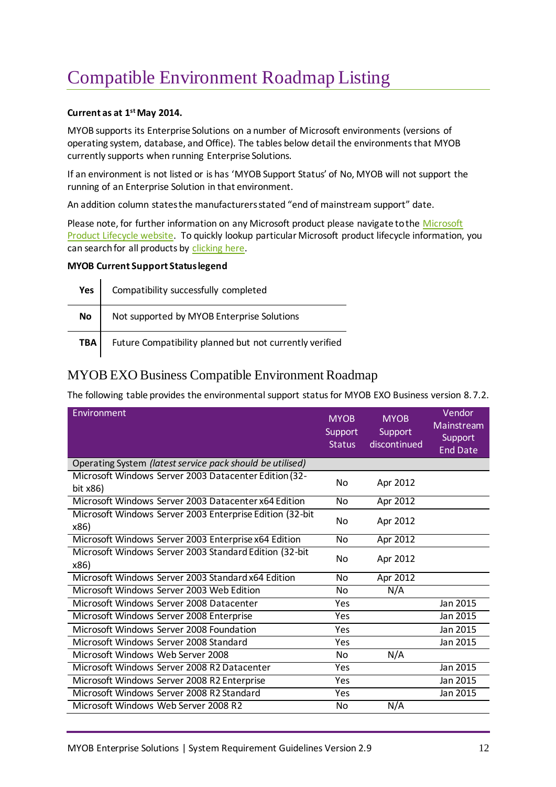# <span id="page-11-0"></span>Compatible Environment Roadmap Listing

#### **Current as at 1 stMay 2014.**

MYOB supports its Enterprise Solutions on a number of Microsoft environments (versions of operating system, database, and Office). The tables below detail the environments that MYOB currently supports when running Enterprise Solutions.

If an environment is not listed or is has 'MYOB Support Status' of No, MYOB will not support the running of an Enterprise Solution in that environment.

An addition column states the manufacturers stated "end of mainstream support" date.

Please note, for further information on any [Microsoft](http://support.microsoft.com/lifecycle/) product please navigate to the Microsoft [Product Lifecycle website.](http://support.microsoft.com/lifecycle/) To quickly lookup particular Microsoft product lifecycle information, you can search for all products by [clicking here.](http://support.microsoft.com/gp/lifeselectindex)

#### **MYOB Current Support Status legend**

| Yes              | Compatibility successfully completed                    |
|------------------|---------------------------------------------------------|
| No               | Not supported by MYOB Enterprise Solutions              |
| TBA <sub>1</sub> | Future Compatibility planned but not currently verified |

#### <span id="page-11-1"></span>MYOB EXO Business Compatible Environment Roadmap

The following table provides the environmental support status for MYOB EXO Business version 8.7.2.

| Environment                                                          | <b>MYOB</b><br>Support<br><b>Status</b> | <b>MYOB</b><br>Support<br>discontinued | Vendor<br>Mainstream<br>Support<br><b>End Date</b> |
|----------------------------------------------------------------------|-----------------------------------------|----------------------------------------|----------------------------------------------------|
| Operating System (latest service pack should be utilised)            |                                         |                                        |                                                    |
| Microsoft Windows Server 2003 Datacenter Edition (32-<br>bit $x86$ ) | No                                      | Apr 2012                               |                                                    |
| Microsoft Windows Server 2003 Datacenter x64 Edition                 | N <sub>o</sub>                          | Apr 2012                               |                                                    |
| Microsoft Windows Server 2003 Enterprise Edition (32-bit<br>x86)     | No                                      | Apr 2012                               |                                                    |
| Microsoft Windows Server 2003 Enterprise x64 Edition                 | N <sub>o</sub>                          | Apr 2012                               |                                                    |
| Microsoft Windows Server 2003 Standard Edition (32-bit<br>x86)       | No                                      | Apr 2012                               |                                                    |
| Microsoft Windows Server 2003 Standard x64 Edition                   | No                                      | Apr 2012                               |                                                    |
| Microsoft Windows Server 2003 Web Edition                            | No                                      | N/A                                    |                                                    |
| Microsoft Windows Server 2008 Datacenter                             | Yes                                     |                                        | Jan 2015                                           |
| Microsoft Windows Server 2008 Enterprise                             | Yes                                     |                                        | Jan 2015                                           |
| Microsoft Windows Server 2008 Foundation                             | Yes                                     |                                        | Jan 2015                                           |
| Microsoft Windows Server 2008 Standard                               | Yes                                     |                                        | Jan 2015                                           |
| Microsoft Windows Web Server 2008                                    | No                                      | N/A                                    |                                                    |
| Microsoft Windows Server 2008 R2 Datacenter                          | Yes                                     |                                        | Jan 2015                                           |
| Microsoft Windows Server 2008 R2 Enterprise                          | Yes                                     |                                        | Jan 2015                                           |
| Microsoft Windows Server 2008 R2 Standard                            | Yes                                     |                                        | Jan 2015                                           |
| Microsoft Windows Web Server 2008 R2                                 | No                                      | N/A                                    |                                                    |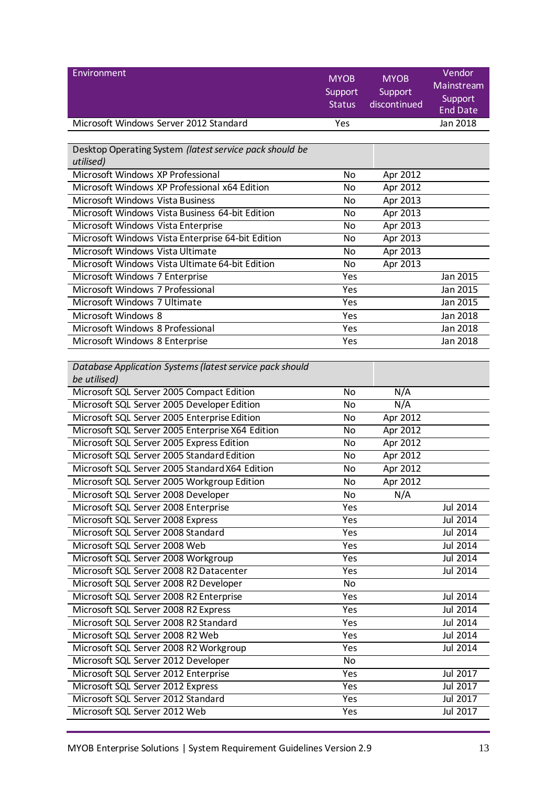| Environment                                              |                          |                         | Vendor                |
|----------------------------------------------------------|--------------------------|-------------------------|-----------------------|
|                                                          | <b>MYOB</b>              | <b>MYOB</b>             | Mainstream            |
|                                                          | Support<br><b>Status</b> | Support<br>discontinued | Support               |
|                                                          |                          |                         | <b>End Date</b>       |
| Microsoft Windows Server 2012 Standard                   | Yes                      |                         | Jan 2018              |
|                                                          |                          |                         |                       |
| Desktop Operating System (latest service pack should be  |                          |                         |                       |
| utilised)                                                |                          |                         |                       |
| Microsoft Windows XP Professional                        | No                       | Apr 2012                |                       |
| Microsoft Windows XP Professional x64 Edition            | No                       | Apr 2012                |                       |
| <b>Microsoft Windows Vista Business</b>                  | No                       | Apr 2013                |                       |
| Microsoft Windows Vista Business 64-bit Edition          | No                       | Apr 2013                |                       |
| Microsoft Windows Vista Enterprise                       | <b>No</b>                | Apr 2013                |                       |
| Microsoft Windows Vista Enterprise 64-bit Edition        | No                       | Apr 2013                |                       |
| Microsoft Windows Vista Ultimate                         | No                       | Apr 2013                |                       |
| Microsoft Windows Vista Ultimate 64-bit Edition          | <b>No</b>                | Apr 2013                |                       |
| Microsoft Windows 7 Enterprise                           | Yes                      |                         | Jan 2015              |
| Microsoft Windows 7 Professional                         | Yes                      |                         | Jan 2015              |
| Microsoft Windows 7 Ultimate                             | Yes                      |                         | Jan 2015              |
| Microsoft Windows 8                                      | Yes                      |                         | Jan 2018              |
| Microsoft Windows 8 Professional                         | Yes                      |                         | Jan 2018              |
| Microsoft Windows 8 Enterprise                           | Yes                      |                         | Jan 2018              |
|                                                          |                          |                         |                       |
| Database Application Systems (latest service pack should |                          |                         |                       |
| be utilised)                                             |                          |                         |                       |
| Microsoft SQL Server 2005 Compact Edition                | No                       | N/A                     |                       |
| Microsoft SQL Server 2005 Developer Edition              | <b>No</b>                | N/A                     |                       |
| Microsoft SQL Server 2005 Enterprise Edition             | No                       | Apr 2012                |                       |
| Microsoft SQL Server 2005 Enterprise X64 Edition         | No                       | Apr 2012                |                       |
| Microsoft SQL Server 2005 Express Edition                | No                       | Apr 2012                |                       |
| Microsoft SQL Server 2005 Standard Edition               | No                       | Apr 2012                |                       |
| Microsoft SQL Server 2005 Standard X64 Edition           | No                       | Apr 2012                |                       |
| Microsoft SQL Server 2005 Workgroup Edition              | No                       | Apr 2012                |                       |
| Microsoft SQL Server 2008 Developer                      | No                       | N/A                     |                       |
| Microsoft SQL Server 2008 Enterprise                     | Yes                      |                         | Jul 2014              |
| Microsoft SQL Server 2008 Express                        | Yes                      |                         | Jul 2014              |
| Microsoft SQL Server 2008 Standard                       | Yes                      |                         | Jul 2014              |
| Microsoft SQL Server 2008 Web                            | Yes                      |                         | Jul 2014              |
| Microsoft SQL Server 2008 Workgroup                      | Yes                      |                         | Jul 2014              |
| Microsoft SQL Server 2008 R2 Datacenter                  | Yes                      |                         | $\overline{Jul}$ 2014 |
| Microsoft SQL Server 2008 R2 Developer                   | No                       |                         |                       |
| Microsoft SQL Server 2008 R2 Enterprise                  | Yes                      |                         | Jul 2014              |
| Microsoft SQL Server 2008 R2 Express                     | Yes                      |                         | Jul 2014              |
| Microsoft SQL Server 2008 R2 Standard                    | Yes                      |                         | Jul 2014              |
| Microsoft SQL Server 2008 R2 Web                         | Yes                      |                         | Jul 2014              |
| Microsoft SQL Server 2008 R2 Workgroup                   | Yes                      |                         | Jul 2014              |
| Microsoft SQL Server 2012 Developer                      | No                       |                         |                       |
| Microsoft SQL Server 2012 Enterprise                     | Yes                      |                         | Jul 2017              |
| Microsoft SQL Server 2012 Express                        | Yes                      |                         | Jul 2017              |
| Microsoft SQL Server 2012 Standard                       | Yes                      |                         | Jul 2017              |
| Microsoft SQL Server 2012 Web                            | Yes                      |                         | Jul 2017              |
|                                                          |                          |                         |                       |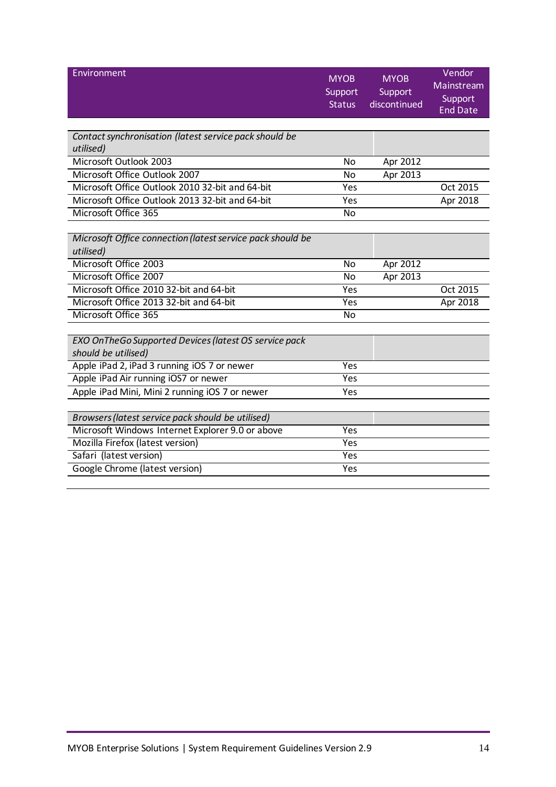<span id="page-13-0"></span>

| Environment                                                         | <b>MYOB</b><br>Support<br><b>Status</b> | <b>MYOB</b><br>Support<br>discontinued | Vendor<br>Mainstream<br>Support<br><b>End Date</b> |
|---------------------------------------------------------------------|-----------------------------------------|----------------------------------------|----------------------------------------------------|
|                                                                     |                                         |                                        |                                                    |
| Contact synchronisation (latest service pack should be<br>utilised) |                                         |                                        |                                                    |
| Microsoft Outlook 2003                                              | <b>No</b>                               | Apr 2012                               |                                                    |
| Microsoft Office Outlook 2007                                       | <b>No</b>                               | Apr 2013                               |                                                    |
| Microsoft Office Outlook 2010 32-bit and 64-bit                     | Yes                                     |                                        | Oct 2015                                           |
| Microsoft Office Outlook 2013 32-bit and 64-bit                     | Yes                                     |                                        | Apr 2018                                           |
| Microsoft Office 365                                                | <b>No</b>                               |                                        |                                                    |
|                                                                     |                                         |                                        |                                                    |
| Microsoft Office connection (latest service pack should be          |                                         |                                        |                                                    |
| utilised)                                                           |                                         |                                        |                                                    |
| Microsoft Office 2003                                               | <b>No</b>                               | Apr 2012                               |                                                    |
| Microsoft Office 2007                                               | No                                      | Apr 2013                               |                                                    |
| Microsoft Office 2010 32-bit and 64-bit                             | Yes                                     |                                        | Oct 2015                                           |
| Microsoft Office 2013 32-bit and 64-bit                             | Yes                                     |                                        | Apr 2018                                           |
| Microsoft Office 365                                                | <b>No</b>                               |                                        |                                                    |
|                                                                     |                                         |                                        |                                                    |
| EXO OnTheGo Supported Devices (latest OS service pack               |                                         |                                        |                                                    |
| should be utilised)                                                 |                                         |                                        |                                                    |
| Apple iPad 2, iPad 3 running iOS 7 or newer                         | Yes                                     |                                        |                                                    |
| Apple iPad Air running iOS7 or newer                                | Yes                                     |                                        |                                                    |
| Apple iPad Mini, Mini 2 running iOS 7 or newer                      | Yes                                     |                                        |                                                    |
|                                                                     |                                         |                                        |                                                    |
| Browsers (latest service pack should be utilised)                   |                                         |                                        |                                                    |
| Microsoft Windows Internet Explorer 9.0 or above                    | $\overline{Yes}$                        |                                        |                                                    |
| Mozilla Firefox (latest version)                                    | <b>Yes</b>                              |                                        |                                                    |
| Safari (latest version)                                             | <b>Yes</b>                              |                                        |                                                    |
| Google Chrome (latest version)                                      | Yes                                     |                                        |                                                    |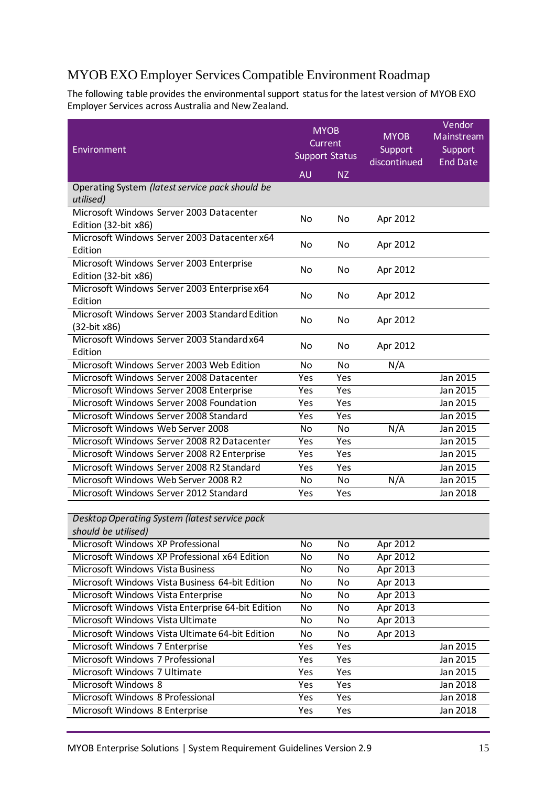## <span id="page-14-0"></span>MYOB EXO Employer Services Compatible Environment Roadmap

The following table provides the environmental support status for the latest version of MYOB EXO Employer Services across Australia and New Zealand.

| Environment                                                          | <b>MYOB</b><br><b>Current</b><br><b>Support Status</b> |           | <b>MYOB</b><br>Support<br>discontinued | Vendor<br>Mainstream<br>Support<br><b>End Date</b> |
|----------------------------------------------------------------------|--------------------------------------------------------|-----------|----------------------------------------|----------------------------------------------------|
|                                                                      | <b>AU</b>                                              | NZ        |                                        |                                                    |
| Operating System (latest service pack should be<br>utilised)         |                                                        |           |                                        |                                                    |
| Microsoft Windows Server 2003 Datacenter<br>Edition (32-bit x86)     | No                                                     | No        | Apr 2012                               |                                                    |
| Microsoft Windows Server 2003 Datacenter x64<br>Edition              | No.                                                    | No        | Apr 2012                               |                                                    |
| Microsoft Windows Server 2003 Enterprise<br>Edition (32-bit x86)     | No                                                     | No        | Apr 2012                               |                                                    |
| Microsoft Windows Server 2003 Enterprise x64<br>Edition              | No                                                     | No        | Apr 2012                               |                                                    |
| Microsoft Windows Server 2003 Standard Edition<br>(32-bit x86)       | No                                                     | No        | Apr 2012                               |                                                    |
| Microsoft Windows Server 2003 Standard x64<br>Edition                | No                                                     | No        | Apr 2012                               |                                                    |
| Microsoft Windows Server 2003 Web Edition                            | No                                                     | <b>No</b> | N/A                                    |                                                    |
| Microsoft Windows Server 2008 Datacenter                             | Yes                                                    | Yes       |                                        | Jan 2015                                           |
| Microsoft Windows Server 2008 Enterprise                             | Yes                                                    | Yes       |                                        | Jan 2015                                           |
| Microsoft Windows Server 2008 Foundation                             | Yes                                                    | Yes       |                                        | Jan 2015                                           |
| Microsoft Windows Server 2008 Standard                               | Yes                                                    | Yes       |                                        | Jan 2015                                           |
| Microsoft Windows Web Server 2008                                    | <b>No</b>                                              | No        | N/A                                    | Jan 2015                                           |
| Microsoft Windows Server 2008 R2 Datacenter                          | Yes                                                    | Yes       |                                        | Jan 2015                                           |
| Microsoft Windows Server 2008 R2 Enterprise                          | Yes                                                    | Yes       |                                        | Jan 2015                                           |
| Microsoft Windows Server 2008 R2 Standard                            | Yes                                                    | Yes       |                                        | Jan 2015                                           |
| Microsoft Windows Web Server 2008 R2                                 | No                                                     | No        | N/A                                    | Jan 2015                                           |
| Microsoft Windows Server 2012 Standard                               | Yes                                                    | Yes       |                                        | Jan 2018                                           |
| Desktop Operating System (latest service pack<br>should be utilised) |                                                        |           |                                        |                                                    |
| Microsoft Windows XP Professional                                    | No                                                     | No        | Apr 2012                               |                                                    |
| Microsoft Windows XP Professional x64 Edition                        | No                                                     | No        | Apr 2012                               |                                                    |
| Microsoft Windows Vista Business                                     | No                                                     | No        | Apr 2013                               |                                                    |
| Microsoft Windows Vista Business 64-bit Edition                      | No                                                     | No        | Apr 2013                               |                                                    |
| Microsoft Windows Vista Enterprise                                   | No                                                     | No        | Apr 2013                               |                                                    |
| Microsoft Windows Vista Enterprise 64-bit Edition                    | No                                                     | No        | Apr 2013                               |                                                    |
| Microsoft Windows Vista Ultimate                                     | No                                                     | No        | Apr 2013                               |                                                    |
| Microsoft Windows Vista Ultimate 64-bit Edition                      | No                                                     | No        | Apr 2013                               |                                                    |
| Microsoft Windows 7 Enterprise                                       | Yes                                                    | Yes       |                                        | Jan 2015                                           |
| Microsoft Windows 7 Professional                                     | Yes                                                    | Yes       |                                        | Jan 2015                                           |
| Microsoft Windows 7 Ultimate                                         | Yes                                                    | Yes       |                                        | Jan 2015                                           |
| Microsoft Windows 8                                                  | Yes                                                    | Yes       |                                        | Jan 2018                                           |
| Microsoft Windows 8 Professional                                     | Yes                                                    | Yes       |                                        | Jan 2018                                           |
| Microsoft Windows 8 Enterprise                                       | Yes                                                    | Yes       |                                        | Jan 2018                                           |